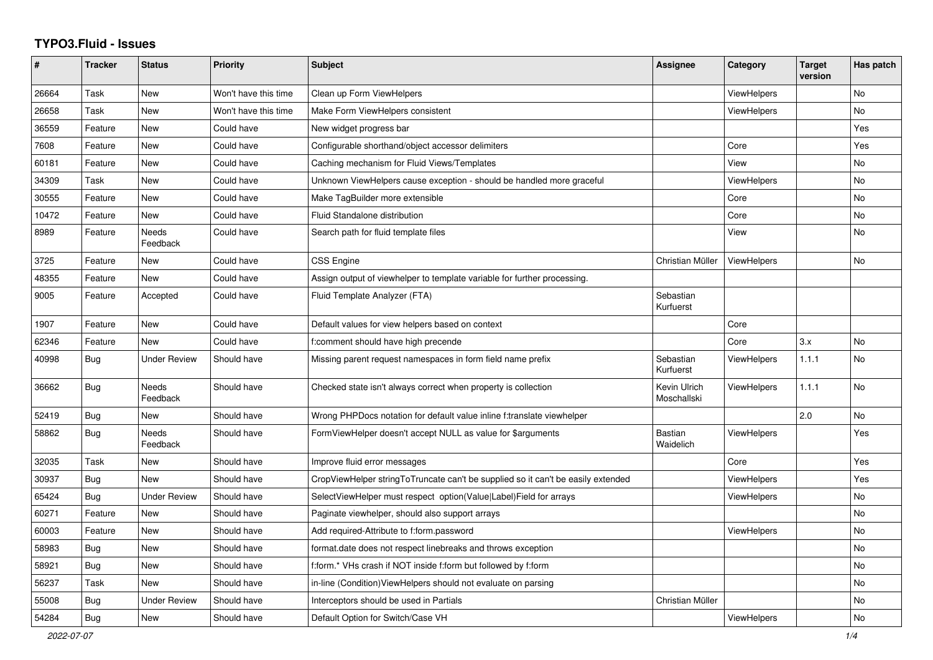## **TYPO3.Fluid - Issues**

| #     | <b>Tracker</b> | <b>Status</b>            | <b>Priority</b>      | <b>Subject</b>                                                                   | Assignee                    | Category           | <b>Target</b><br>version | Has patch      |
|-------|----------------|--------------------------|----------------------|----------------------------------------------------------------------------------|-----------------------------|--------------------|--------------------------|----------------|
| 26664 | Task           | New                      | Won't have this time | Clean up Form ViewHelpers                                                        |                             | ViewHelpers        |                          | No             |
| 26658 | Task           | New                      | Won't have this time | Make Form ViewHelpers consistent                                                 |                             | <b>ViewHelpers</b> |                          | No             |
| 36559 | Feature        | <b>New</b>               | Could have           | New widget progress bar                                                          |                             |                    |                          | Yes            |
| 7608  | Feature        | <b>New</b>               | Could have           | Configurable shorthand/object accessor delimiters                                |                             | Core               |                          | Yes            |
| 60181 | Feature        | New                      | Could have           | Caching mechanism for Fluid Views/Templates                                      |                             | View               |                          | No             |
| 34309 | Task           | New                      | Could have           | Unknown ViewHelpers cause exception - should be handled more graceful            |                             | ViewHelpers        |                          | <b>No</b>      |
| 30555 | Feature        | <b>New</b>               | Could have           | Make TagBuilder more extensible                                                  |                             | Core               |                          | <b>No</b>      |
| 10472 | Feature        | New                      | Could have           | Fluid Standalone distribution                                                    |                             | Core               |                          | No             |
| 8989  | Feature        | Needs<br>Feedback        | Could have           | Search path for fluid template files                                             |                             | View               |                          | No             |
| 3725  | Feature        | New                      | Could have           | <b>CSS Engine</b>                                                                | Christian Müller            | <b>ViewHelpers</b> |                          | No             |
| 48355 | Feature        | New                      | Could have           | Assign output of viewhelper to template variable for further processing.         |                             |                    |                          |                |
| 9005  | Feature        | Accepted                 | Could have           | Fluid Template Analyzer (FTA)                                                    | Sebastian<br>Kurfuerst      |                    |                          |                |
| 1907  | Feature        | New                      | Could have           | Default values for view helpers based on context                                 |                             | Core               |                          |                |
| 62346 | Feature        | <b>New</b>               | Could have           | f:comment should have high precende                                              |                             | Core               | 3.x                      | No             |
| 40998 | <b>Bug</b>     | <b>Under Review</b>      | Should have          | Missing parent request namespaces in form field name prefix                      | Sebastian<br>Kurfuerst      | <b>ViewHelpers</b> | 1.1.1                    | <b>No</b>      |
| 36662 | <b>Bug</b>     | <b>Needs</b><br>Feedback | Should have          | Checked state isn't always correct when property is collection                   | Kevin Ulrich<br>Moschallski | <b>ViewHelpers</b> | 1.1.1                    | <b>No</b>      |
| 52419 | Bug            | New                      | Should have          | Wrong PHPDocs notation for default value inline f:translate viewhelper           |                             |                    | 2.0                      | N <sub>o</sub> |
| 58862 | Bug            | <b>Needs</b><br>Feedback | Should have          | FormViewHelper doesn't accept NULL as value for \$arguments                      | Bastian<br>Waidelich        | ViewHelpers        |                          | Yes            |
| 32035 | Task           | New                      | Should have          | Improve fluid error messages                                                     |                             | Core               |                          | Yes            |
| 30937 | <b>Bug</b>     | New                      | Should have          | CropViewHelper stringToTruncate can't be supplied so it can't be easily extended |                             | ViewHelpers        |                          | Yes            |
| 65424 | <b>Bug</b>     | <b>Under Review</b>      | Should have          | SelectViewHelper must respect option(Value Label)Field for arrays                |                             | ViewHelpers        |                          | No             |
| 60271 | Feature        | New                      | Should have          | Paginate viewhelper, should also support arrays                                  |                             |                    |                          | <b>No</b>      |
| 60003 | Feature        | New                      | Should have          | Add required-Attribute to f:form.password                                        |                             | <b>ViewHelpers</b> |                          | No.            |
| 58983 | Bug            | New                      | Should have          | format.date does not respect linebreaks and throws exception                     |                             |                    |                          | No             |
| 58921 | Bug            | <b>New</b>               | Should have          | f:form.* VHs crash if NOT inside f:form but followed by f:form                   |                             |                    |                          | No             |
| 56237 | Task           | New                      | Should have          | in-line (Condition) View Helpers should not evaluate on parsing                  |                             |                    |                          | <b>No</b>      |
| 55008 | Bug            | Under Review             | Should have          | Interceptors should be used in Partials                                          | Christian Müller            |                    |                          | <b>No</b>      |
| 54284 | <b>Bug</b>     | New                      | Should have          | Default Option for Switch/Case VH                                                |                             | ViewHelpers        |                          | No             |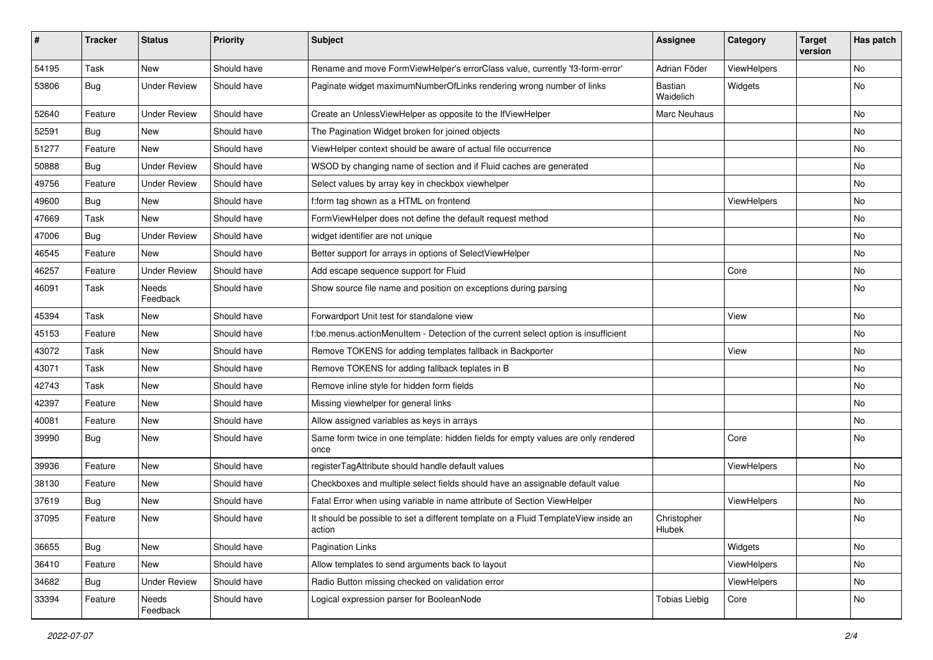| #     | <b>Tracker</b> | <b>Status</b>       | <b>Priority</b> | Subject                                                                                       | <b>Assignee</b>       | Category    | <b>Target</b><br>version | Has patch |
|-------|----------------|---------------------|-----------------|-----------------------------------------------------------------------------------------------|-----------------------|-------------|--------------------------|-----------|
| 54195 | Task           | New                 | Should have     | Rename and move FormViewHelper's errorClass value, currently 'f3-form-error'                  | Adrian Föder          | ViewHelpers |                          | <b>No</b> |
| 53806 | <b>Bug</b>     | <b>Under Review</b> | Should have     | Paginate widget maximumNumberOfLinks rendering wrong number of links                          | Bastian<br>Waidelich  | Widgets     |                          | No        |
| 52640 | Feature        | <b>Under Review</b> | Should have     | Create an UnlessViewHelper as opposite to the IfViewHelper                                    | Marc Neuhaus          |             |                          | <b>No</b> |
| 52591 | Bug            | New                 | Should have     | The Pagination Widget broken for joined objects                                               |                       |             |                          | No        |
| 51277 | Feature        | <b>New</b>          | Should have     | ViewHelper context should be aware of actual file occurrence                                  |                       |             |                          | <b>No</b> |
| 50888 | Bug            | <b>Under Review</b> | Should have     | WSOD by changing name of section and if Fluid caches are generated                            |                       |             |                          | No        |
| 49756 | Feature        | <b>Under Review</b> | Should have     | Select values by array key in checkbox viewhelper                                             |                       |             |                          | No        |
| 49600 | Bug            | <b>New</b>          | Should have     | f:form tag shown as a HTML on frontend                                                        |                       | ViewHelpers |                          | No        |
| 47669 | Task           | <b>New</b>          | Should have     | FormViewHelper does not define the default request method                                     |                       |             |                          | No        |
| 47006 | <b>Bug</b>     | <b>Under Review</b> | Should have     | widget identifier are not unique                                                              |                       |             |                          | No        |
| 46545 | Feature        | New                 | Should have     | Better support for arrays in options of SelectViewHelper                                      |                       |             |                          | No        |
| 46257 | Feature        | <b>Under Review</b> | Should have     | Add escape sequence support for Fluid                                                         |                       | Core        |                          | No        |
| 46091 | Task           | Needs<br>Feedback   | Should have     | Show source file name and position on exceptions during parsing                               |                       |             |                          | No        |
| 45394 | Task           | New                 | Should have     | Forwardport Unit test for standalone view                                                     |                       | View        |                          | No        |
| 45153 | Feature        | <b>New</b>          | Should have     | f:be.menus.actionMenuItem - Detection of the current select option is insufficient            |                       |             |                          | No        |
| 43072 | Task           | New                 | Should have     | Remove TOKENS for adding templates fallback in Backporter                                     |                       | View        |                          | No        |
| 43071 | Task           | New                 | Should have     | Remove TOKENS for adding fallback teplates in B                                               |                       |             |                          | <b>No</b> |
| 42743 | Task           | New                 | Should have     | Remove inline style for hidden form fields                                                    |                       |             |                          | No        |
| 42397 | Feature        | New                 | Should have     | Missing viewhelper for general links                                                          |                       |             |                          | No        |
| 40081 | Feature        | <b>New</b>          | Should have     | Allow assigned variables as keys in arrays                                                    |                       |             |                          | No        |
| 39990 | <b>Bug</b>     | New                 | Should have     | Same form twice in one template: hidden fields for empty values are only rendered<br>once     |                       | Core        |                          | No        |
| 39936 | Feature        | <b>New</b>          | Should have     | registerTagAttribute should handle default values                                             |                       | ViewHelpers |                          | No        |
| 38130 | Feature        | New                 | Should have     | Checkboxes and multiple select fields should have an assignable default value                 |                       |             |                          | No        |
| 37619 | <b>Bug</b>     | New                 | Should have     | Fatal Error when using variable in name attribute of Section ViewHelper                       |                       | ViewHelpers |                          | <b>No</b> |
| 37095 | Feature        | New                 | Should have     | It should be possible to set a different template on a Fluid TemplateView inside an<br>action | Christopher<br>Hlubek |             |                          | No        |
| 36655 | Bug            | New                 | Should have     | Pagination Links                                                                              |                       | Widgets     |                          | No        |
| 36410 | Feature        | New                 | Should have     | Allow templates to send arguments back to layout                                              |                       | ViewHelpers |                          | No        |
| 34682 | Bug            | <b>Under Review</b> | Should have     | Radio Button missing checked on validation error                                              |                       | ViewHelpers |                          | No        |
| 33394 | Feature        | Needs<br>Feedback   | Should have     | Logical expression parser for BooleanNode                                                     | <b>Tobias Liebig</b>  | Core        |                          | No        |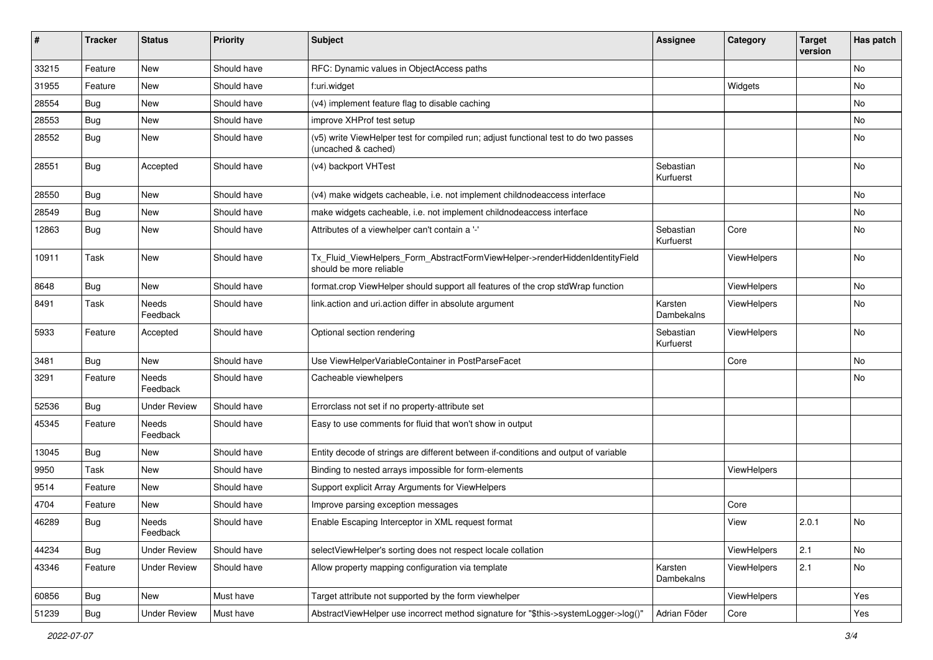| #     | <b>Tracker</b> | <b>Status</b>       | <b>Priority</b> | <b>Subject</b>                                                                                              | <b>Assignee</b>        | Category    | <b>Target</b><br>version | Has patch |
|-------|----------------|---------------------|-----------------|-------------------------------------------------------------------------------------------------------------|------------------------|-------------|--------------------------|-----------|
| 33215 | Feature        | New                 | Should have     | RFC: Dynamic values in ObjectAccess paths                                                                   |                        |             |                          | No        |
| 31955 | Feature        | New                 | Should have     | f:uri.widget                                                                                                |                        | Widgets     |                          | No        |
| 28554 | Bug            | New                 | Should have     | (v4) implement feature flag to disable caching                                                              |                        |             |                          | No        |
| 28553 | Bug            | New                 | Should have     | improve XHProf test setup                                                                                   |                        |             |                          | No        |
| 28552 | Bug            | New                 | Should have     | (v5) write ViewHelper test for compiled run; adjust functional test to do two passes<br>(uncached & cached) |                        |             |                          | No        |
| 28551 | Bug            | Accepted            | Should have     | (v4) backport VHTest                                                                                        | Sebastian<br>Kurfuerst |             |                          | No        |
| 28550 | Bug            | New                 | Should have     | (v4) make widgets cacheable, i.e. not implement childnodeaccess interface                                   |                        |             |                          | No        |
| 28549 | Bug            | New                 | Should have     | make widgets cacheable, i.e. not implement childnodeaccess interface                                        |                        |             |                          | No        |
| 12863 | <b>Bug</b>     | New                 | Should have     | Attributes of a viewhelper can't contain a '-'                                                              | Sebastian<br>Kurfuerst | Core        |                          | No        |
| 10911 | Task           | New                 | Should have     | Tx_Fluid_ViewHelpers_Form_AbstractFormViewHelper->renderHiddenIdentityField<br>should be more reliable      |                        | ViewHelpers |                          | No        |
| 8648  | Bug            | New                 | Should have     | format.crop ViewHelper should support all features of the crop stdWrap function                             |                        | ViewHelpers |                          | No        |
| 8491  | Task           | Needs<br>Feedback   | Should have     | link.action and uri.action differ in absolute argument                                                      | Karsten<br>Dambekalns  | ViewHelpers |                          | No        |
| 5933  | Feature        | Accepted            | Should have     | Optional section rendering                                                                                  | Sebastian<br>Kurfuerst | ViewHelpers |                          | No        |
| 3481  | Bug            | New                 | Should have     | Use ViewHelperVariableContainer in PostParseFacet                                                           |                        | Core        |                          | No        |
| 3291  | Feature        | Needs<br>Feedback   | Should have     | Cacheable viewhelpers                                                                                       |                        |             |                          | No        |
| 52536 | Bug            | <b>Under Review</b> | Should have     | Errorclass not set if no property-attribute set                                                             |                        |             |                          |           |
| 45345 | Feature        | Needs<br>Feedback   | Should have     | Easy to use comments for fluid that won't show in output                                                    |                        |             |                          |           |
| 13045 | Bug            | New                 | Should have     | Entity decode of strings are different between if-conditions and output of variable                         |                        |             |                          |           |
| 9950  | Task           | New                 | Should have     | Binding to nested arrays impossible for form-elements                                                       |                        | ViewHelpers |                          |           |
| 9514  | Feature        | New                 | Should have     | Support explicit Array Arguments for ViewHelpers                                                            |                        |             |                          |           |
| 4704  | Feature        | New                 | Should have     | Improve parsing exception messages                                                                          |                        | Core        |                          |           |
| 46289 | <b>Bug</b>     | Needs<br>Feedback   | Should have     | Enable Escaping Interceptor in XML request format                                                           |                        | View        | 2.0.1                    | No        |
| 44234 | <b>Bug</b>     | <b>Under Review</b> | Should have     | selectViewHelper's sorting does not respect locale collation                                                |                        | ViewHelpers | 2.1                      | No        |
| 43346 | Feature        | <b>Under Review</b> | Should have     | Allow property mapping configuration via template                                                           | Karsten<br>Dambekalns  | ViewHelpers | 2.1                      | No        |
| 60856 | Bug            | New                 | Must have       | Target attribute not supported by the form viewhelper                                                       |                        | ViewHelpers |                          | Yes       |
| 51239 | <b>Bug</b>     | <b>Under Review</b> | Must have       | AbstractViewHelper use incorrect method signature for "\$this->systemLogger->log()"                         | Adrian Föder           | Core        |                          | Yes       |